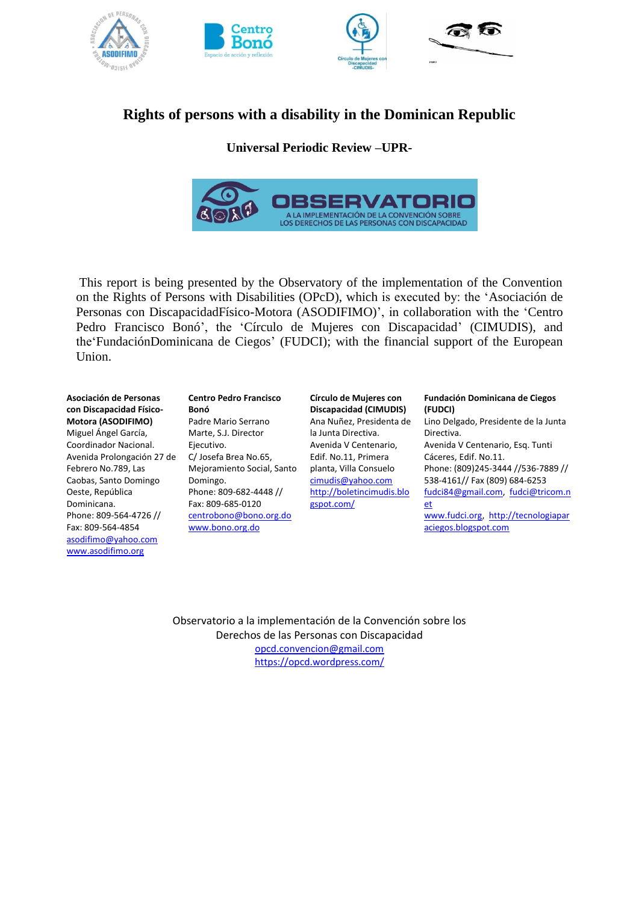

# **Rights of persons with a disability in the Dominican Republic**

# **Universal Periodic Review –UPR-**



This report is being presented by the Observatory of the implementation of the Convention on the Rights of Persons with Disabilities (OPcD), which is executed by: the 'Asociación de Personas con DiscapacidadFísico-Motora (ASODIFIMO)', in collaboration with the 'Centro Pedro Francisco Bonó', the 'Círculo de Mujeres con Discapacidad' (CIMUDIS), and the'FundaciónDominicana de Ciegos' (FUDCI); with the financial support of the European Union.

#### **Asociación de Personas con Discapacidad Físico-Motora (ASODIFIMO)**

Miguel Ángel García, Coordinador Nacional. Avenida Prolongación 27 de Febrero No.789, Las Caobas, Santo Domingo Oeste, República Dominicana. Phone: 809-564-4726 // Fax: 809-564-4854 [asodifimo@yahoo.com](mailto:asodifimo@yahoo.com) [www.asodifimo.org](http://www.asodifimo.org/)

#### **Centro Pedro Francisco Bonó** Padre Mario Serrano Marte, S.J. Director Ejecutivo. C/ Josefa Brea No.65, Mejoramiento Social, Santo Domingo. Phone: 809-682-4448 // Fax: 809-685-0120 [centrobono@bono.org.do](mailto:centrobono@bono.org.do) [www.bono.org.do](http://www.bono.org.do/)

**Círculo de Mujeres con Discapacidad (CIMUDIS)** Ana Nuñez, Presidenta de la Junta Directiva. Avenida V Centenario, Edif. No.11, Primera planta, Villa Consuelo [cimudis@yahoo.com](mailto:cimudis@yahoo.com) [http://boletincimudis.blo](http://boletincimudis.blogspot.com/) [gspot.com/](http://boletincimudis.blogspot.com/)

#### **Fundación Dominicana de Ciegos (FUDCI)**

Lino Delgado, Presidente de la Junta Directiva. Avenida V Centenario, Esq. Tunti Cáceres, Edif. No.11. Phone: (809)245-3444 //536-7889 // 538-4161// Fax (809) 684-6253 [fudci84@gmail.com,](mailto:fudci@codetel.net.do) [fudci@tricom.n](mailto:fudci@tricom.netdo) [et](mailto:fudci@tricom.netdo) [www.fudci.org,](http://www.fudci.org/) [http://tecnologiapar](http://tecnologiaparaciegos.blogspot.com/) [aciegos.blogspot.com](http://tecnologiaparaciegos.blogspot.com/)

Observatorio a la implementación de la Convención sobre los Derechos de las Personas con Discapacidad [opcd.convencion@gmail.com](mailto:opcd.convencion@gmail.com) <https://opcd.wordpress.com/>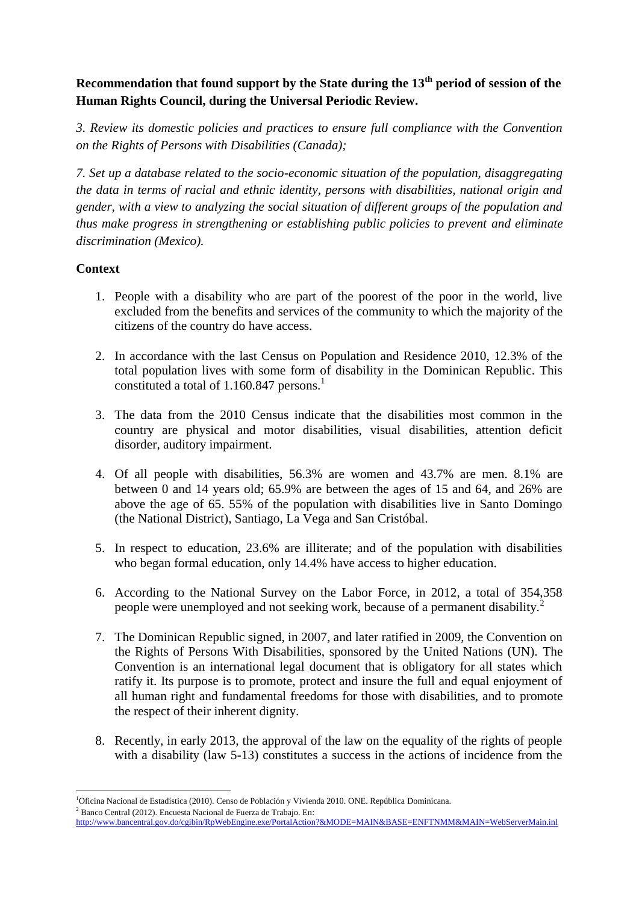# **Recommendation that found support by the State during the 13th period of session of the Human Rights Council, during the Universal Periodic Review.**

*3. Review its domestic policies and practices to ensure full compliance with the Convention on the Rights of Persons with Disabilities (Canada);* 

*7. Set up a database related to the socio-economic situation of the population, disaggregating the data in terms of racial and ethnic identity, persons with disabilities, national origin and gender, with a view to analyzing the social situation of different groups of the population and thus make progress in strengthening or establishing public policies to prevent and eliminate discrimination (Mexico).*

# **Context**

- 1. People with a disability who are part of the poorest of the poor in the world, live excluded from the benefits and services of the community to which the majority of the citizens of the country do have access.
- 2. In accordance with the last Census on Population and Residence 2010, 12.3% of the total population lives with some form of disability in the Dominican Republic. This constituted a total of 1.160.847 persons.<sup>1</sup>
- 3. The data from the 2010 Census indicate that the disabilities most common in the country are physical and motor disabilities, visual disabilities, attention deficit disorder, auditory impairment.
- 4. Of all people with disabilities, 56.3% are women and 43.7% are men. 8.1% are between 0 and 14 years old; 65.9% are between the ages of 15 and 64, and 26% are above the age of 65. 55% of the population with disabilities live in Santo Domingo (the National District), Santiago, La Vega and San Cristóbal.
- 5. In respect to education, 23.6% are illiterate; and of the population with disabilities who began formal education, only 14.4% have access to higher education.
- 6. According to the National Survey on the Labor Force, in 2012, a total of 354,358 people were unemployed and not seeking work, because of a permanent disability.<sup>2</sup>
- 7. The Dominican Republic signed, in 2007, and later ratified in 2009, the Convention on the Rights of Persons With Disabilities, sponsored by the United Nations (UN). The Convention is an international legal document that is obligatory for all states which ratify it. Its purpose is to promote, protect and insure the full and equal enjoyment of all human right and fundamental freedoms for those with disabilities, and to promote the respect of their inherent dignity.
- 8. Recently, in early 2013, the approval of the law on the equality of the rights of people with a disability (law 5-13) constitutes a success in the actions of incidence from the

 $2$  Banco Central (2012). Encuesta Nacional de Fuerza de Trabajo. En:

<sup>1</sup> <sup>1</sup>Oficina Nacional de Estadística (2010). Censo de Población y Vivienda 2010. ONE. República Dominicana.

<http://www.bancentral.gov.do/cgibin/RpWebEngine.exe/PortalAction?&MODE=MAIN&BASE=ENFTNMM&MAIN=WebServerMain.inl>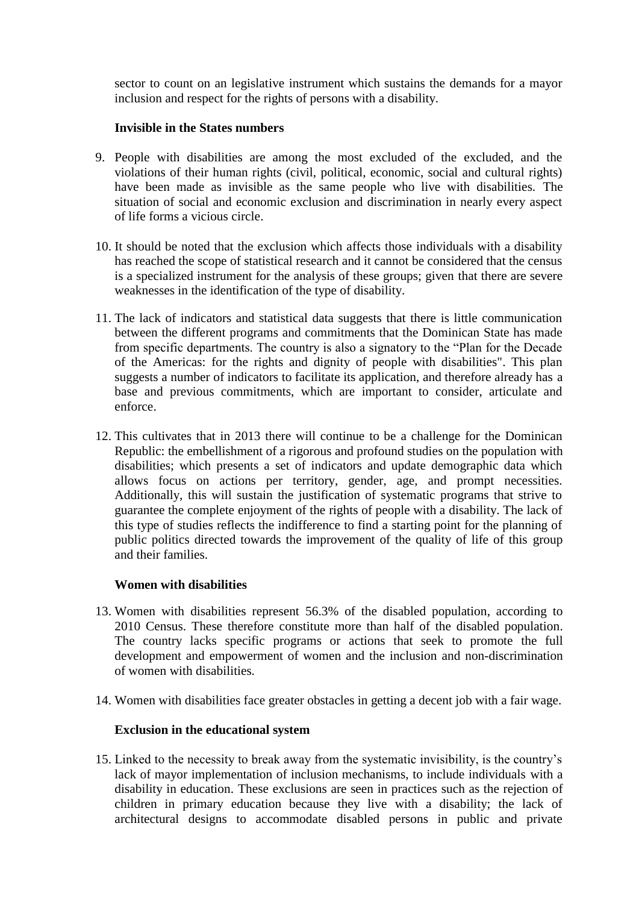sector to count on an legislative instrument which sustains the demands for a mayor inclusion and respect for the rights of persons with a disability.

### **Invisible in the States numbers**

- 9. People with disabilities are among the most excluded of the excluded, and the violations of their human rights (civil, political, economic, social and cultural rights) have been made as invisible as the same people who live with disabilities. The situation of social and economic exclusion and discrimination in nearly every aspect of life forms a vicious circle.
- 10. It should be noted that the exclusion which affects those individuals with a disability has reached the scope of statistical research and it cannot be considered that the census is a specialized instrument for the analysis of these groups; given that there are severe weaknesses in the identification of the type of disability.
- 11. The lack of indicators and statistical data suggests that there is little communication between the different programs and commitments that the Dominican State has made from specific departments. The country is also a signatory to the "Plan for the Decade of the Americas: for the rights and dignity of people with disabilities". This plan suggests a number of indicators to facilitate its application, and therefore already has a base and previous commitments, which are important to consider, articulate and enforce.
- 12. This cultivates that in 2013 there will continue to be a challenge for the Dominican Republic: the embellishment of a rigorous and profound studies on the population with disabilities; which presents a set of indicators and update demographic data which allows focus on actions per territory, gender, age, and prompt necessities. Additionally, this will sustain the justification of systematic programs that strive to guarantee the complete enjoyment of the rights of people with a disability. The lack of this type of studies reflects the indifference to find a starting point for the planning of public politics directed towards the improvement of the quality of life of this group and their families.

# **Women with disabilities**

- 13. Women with disabilities represent 56.3% of the disabled population, according to 2010 Census. These therefore constitute more than half of the disabled population. The country lacks specific programs or actions that seek to promote the full development and empowerment of women and the inclusion and non-discrimination of women with disabilities.
- 14. Women with disabilities face greater obstacles in getting a decent job with a fair wage.

# **Exclusion in the educational system**

15. Linked to the necessity to break away from the systematic invisibility, is the country's lack of mayor implementation of inclusion mechanisms, to include individuals with a disability in education. These exclusions are seen in practices such as the rejection of children in primary education because they live with a disability; the lack of architectural designs to accommodate disabled persons in public and private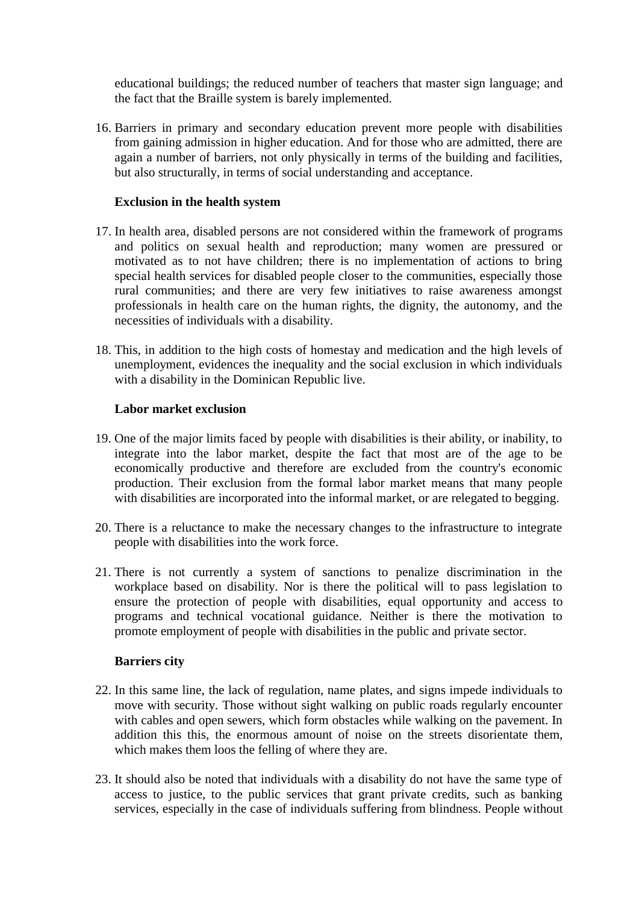educational buildings; the reduced number of teachers that master sign language; and the fact that the Braille system is barely implemented.

16. Barriers in primary and secondary education prevent more people with disabilities from gaining admission in higher education. And for those who are admitted, there are again a number of barriers, not only physically in terms of the building and facilities, but also structurally, in terms of social understanding and acceptance.

### **Exclusion in the health system**

- 17. In health area, disabled persons are not considered within the framework of programs and politics on sexual health and reproduction; many women are pressured or motivated as to not have children; there is no implementation of actions to bring special health services for disabled people closer to the communities, especially those rural communities; and there are very few initiatives to raise awareness amongst professionals in health care on the human rights, the dignity, the autonomy, and the necessities of individuals with a disability.
- 18. This, in addition to the high costs of homestay and medication and the high levels of unemployment, evidences the inequality and the social exclusion in which individuals with a disability in the Dominican Republic live.

### **Labor market exclusion**

- 19. One of the major limits faced by people with disabilities is their ability, or inability, to integrate into the labor market, despite the fact that most are of the age to be economically productive and therefore are excluded from the country's economic production. Their exclusion from the formal labor market means that many people with disabilities are incorporated into the informal market, or are relegated to begging.
- 20. There is a reluctance to make the necessary changes to the infrastructure to integrate people with disabilities into the work force.
- 21. There is not currently a system of sanctions to penalize discrimination in the workplace based on disability. Nor is there the political will to pass legislation to ensure the protection of people with disabilities, equal opportunity and access to programs and technical vocational guidance. Neither is there the motivation to promote employment of people with disabilities in the public and private sector.

#### **Barriers city**

- 22. In this same line, the lack of regulation, name plates, and signs impede individuals to move with security. Those without sight walking on public roads regularly encounter with cables and open sewers, which form obstacles while walking on the pavement. In addition this this, the enormous amount of noise on the streets disorientate them, which makes them loos the felling of where they are.
- 23. It should also be noted that individuals with a disability do not have the same type of access to justice, to the public services that grant private credits, such as banking services, especially in the case of individuals suffering from blindness. People without